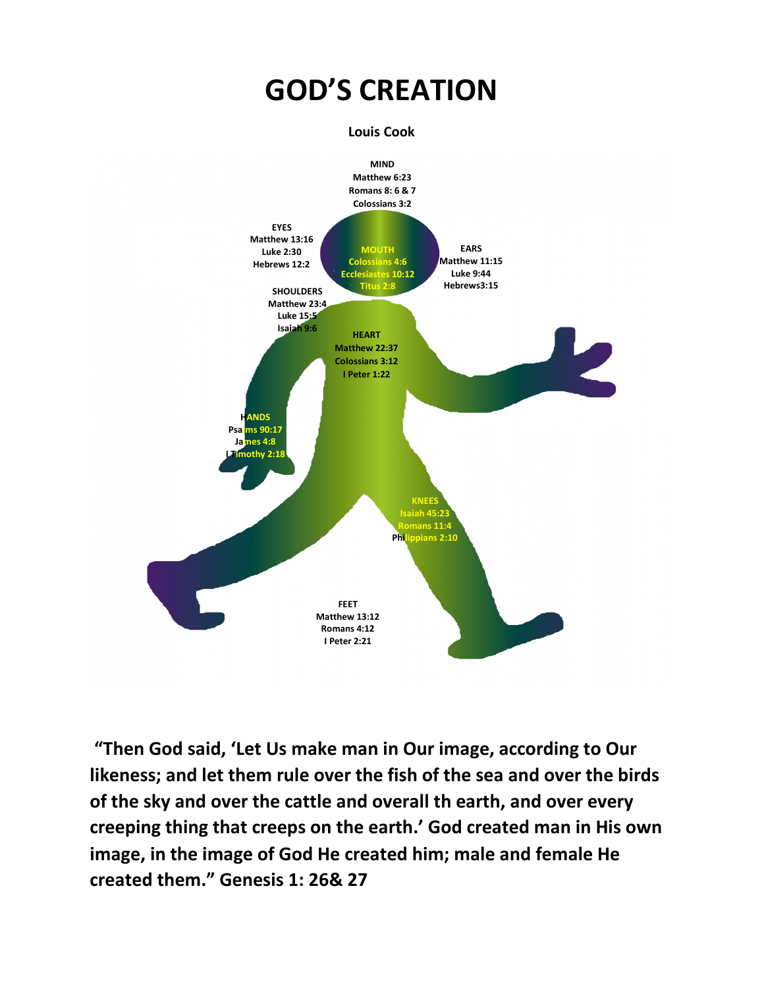

**"Then God said, 'Let Us make man in Our image, according to Our likeness; and let them rule over the fish of the sea and over the birds of the sky and over the cattle and overall th earth, and over every creeping thing that creeps on the earth.' God created man in His own image, in the image of God He created him; male and female He created them." Genesis 1: 26& 27**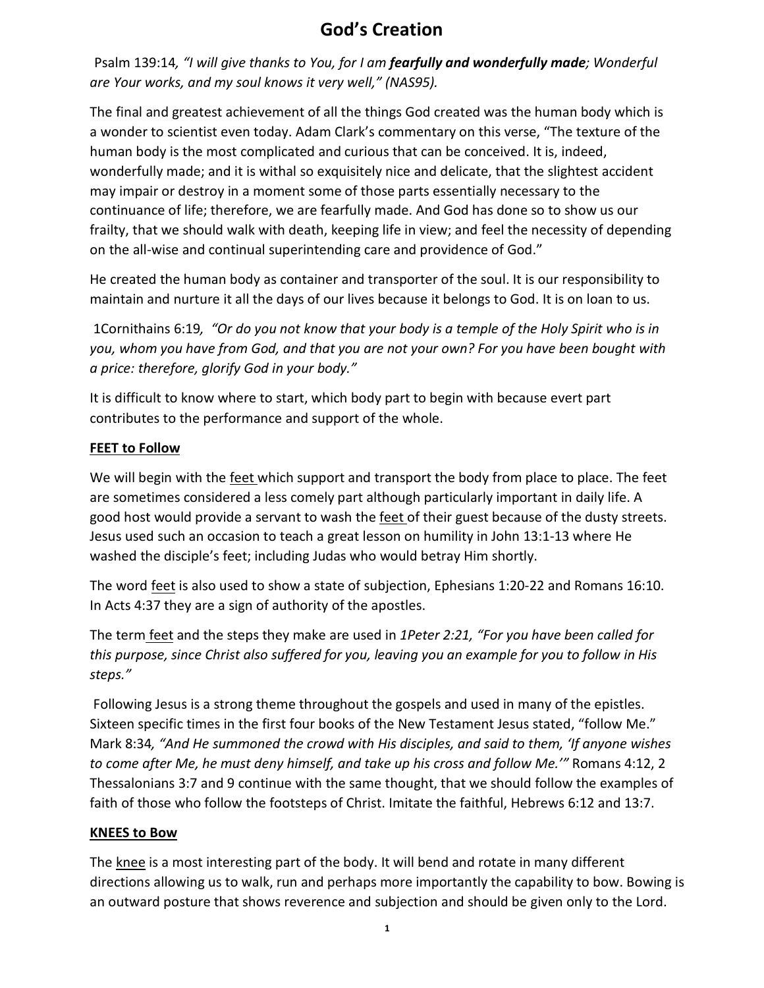# **God's Creation**

Psalm 139:14*, "I will give thanks to You, for I am fearfully and wonderfully made; Wonderful are Your works, and my soul knows it very well," (NAS95).*

The final and greatest achievement of all the things God created was the human body which is a wonder to scientist even today. Adam Clark's commentary on this verse, "The texture of the human body is the most complicated and curious that can be conceived. It is, indeed, wonderfully made; and it is withal so exquisitely nice and delicate, that the slightest accident may impair or destroy in a moment some of those parts essentially necessary to the continuance of life; therefore, we are fearfully made. And God has done so to show us our frailty, that we should walk with death, keeping life in view; and feel the necessity of depending on the all-wise and continual superintending care and providence of God."

He created the human body as container and transporter of the soul. It is our responsibility to maintain and nurture it all the days of our lives because it belongs to God. It is on loan to us.

1Cornithains 6:19*, "Or do you not know that your body is a temple of the Holy Spirit who is in you, whom you have from God, and that you are not your own? For you have been bought with a price: therefore, glorify God in your body."*

It is difficult to know where to start, which body part to begin with because evert part contributes to the performance and support of the whole.

# **FEET to Follow**

We will begin with the feet which support and transport the body from place to place. The feet are sometimes considered a less comely part although particularly important in daily life. A good host would provide a servant to wash the feet of their guest because of the dusty streets. Jesus used such an occasion to teach a great lesson on humility in John 13:1-13 where He washed the disciple's feet; including Judas who would betray Him shortly.

The word feet is also used to show a state of subjection, Ephesians 1:20-22 and Romans 16:10. In Acts 4:37 they are a sign of authority of the apostles.

The term feet and the steps they make are used in *1Peter 2:21, "For you have been called for this purpose, since Christ also suffered for you, leaving you an example for you to follow in His steps."*

Following Jesus is a strong theme throughout the gospels and used in many of the epistles. Sixteen specific times in the first four books of the New Testament Jesus stated, "follow Me." Mark 8:34*, "And He summoned the crowd with His disciples, and said to them, 'If anyone wishes to come after Me, he must deny himself, and take up his cross and follow Me.'"* Romans 4:12, 2 Thessalonians 3:7 and 9 continue with the same thought, that we should follow the examples of faith of those who follow the footsteps of Christ. Imitate the faithful, Hebrews 6:12 and 13:7.

# **KNEES to Bow**

The knee is a most interesting part of the body. It will bend and rotate in many different directions allowing us to walk, run and perhaps more importantly the capability to bow. Bowing is an outward posture that shows reverence and subjection and should be given only to the Lord.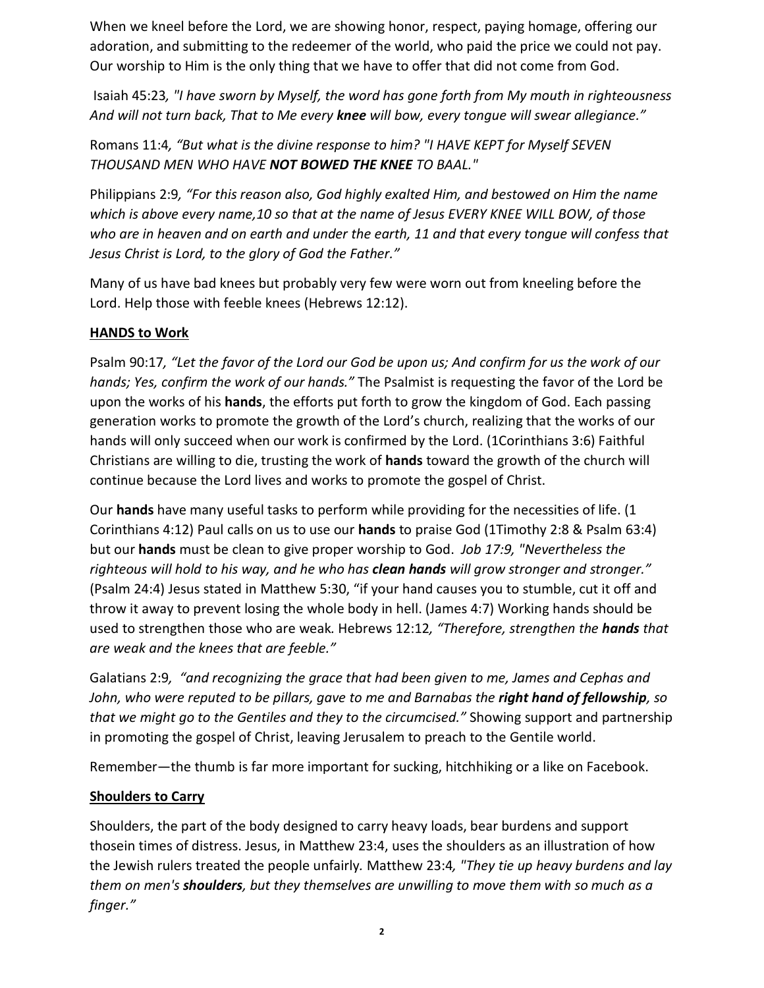When we kneel before the Lord, we are showing honor, respect, paying homage, offering our adoration, and submitting to the redeemer of the world, who paid the price we could not pay. Our worship to Him is the only thing that we have to offer that did not come from God.

Isaiah 45:23*, "I have sworn by Myself, the word has gone forth from My mouth in righteousness And will not turn back, That to Me every knee will bow, every tongue will swear allegiance."*

Romans 11:4*, "But what is the divine response to him? "I HAVE KEPT for Myself SEVEN THOUSAND MEN WHO HAVE NOT BOWED THE KNEE TO BAAL."* 

Philippians 2:9*, "For this reason also, God highly exalted Him, and bestowed on Him the name which is above every name,10 so that at the name of Jesus EVERY KNEE WILL BOW, of those who are in heaven and on earth and under the earth, 11 and that every tongue will confess that Jesus Christ is Lord, to the glory of God the Father."*

Many of us have bad knees but probably very few were worn out from kneeling before the Lord. Help those with feeble knees (Hebrews 12:12).

# **HANDS to Work**

Psalm 90:17*, "Let the favor of the Lord our God be upon us; And confirm for us the work of our hands; Yes, confirm the work of our hands."* The Psalmist is requesting the favor of the Lord be upon the works of his **hands**, the efforts put forth to grow the kingdom of God. Each passing generation works to promote the growth of the Lord's church, realizing that the works of our hands will only succeed when our work is confirmed by the Lord. (1Corinthians 3:6) Faithful Christians are willing to die, trusting the work of **hands** toward the growth of the church will continue because the Lord lives and works to promote the gospel of Christ.

Our **hands** have many useful tasks to perform while providing for the necessities of life. (1 Corinthians 4:12) Paul calls on us to use our **hands** to praise God (1Timothy 2:8 & Psalm 63:4) but our **hands** must be clean to give proper worship to God. *Job 17:9, "Nevertheless the righteous will hold to his way, and he who has clean hands will grow stronger and stronger."* (Psalm 24:4) Jesus stated in Matthew 5:30, "if your hand causes you to stumble, cut it off and throw it away to prevent losing the whole body in hell. (James 4:7) Working hands should be used to strengthen those who are weak*.* Hebrews 12:12*, "Therefore, strengthen the hands that are weak and the knees that are feeble."*

Galatians 2:9*, "and recognizing the grace that had been given to me, James and Cephas and John, who were reputed to be pillars, gave to me and Barnabas the right hand of fellowship, so that we might go to the Gentiles and they to the circumcised."* Showing support and partnership in promoting the gospel of Christ, leaving Jerusalem to preach to the Gentile world.

Remember—the thumb is far more important for sucking, hitchhiking or a like on Facebook.

#### **Shoulders to Carry**

Shoulders, the part of the body designed to carry heavy loads, bear burdens and support thosein times of distress. Jesus, in Matthew 23:4, uses the shoulders as an illustration of how the Jewish rulers treated the people unfairly*.* Matthew 23:4*, "They tie up heavy burdens and lay them on men's shoulders, but they themselves are unwilling to move them with so much as a finger."*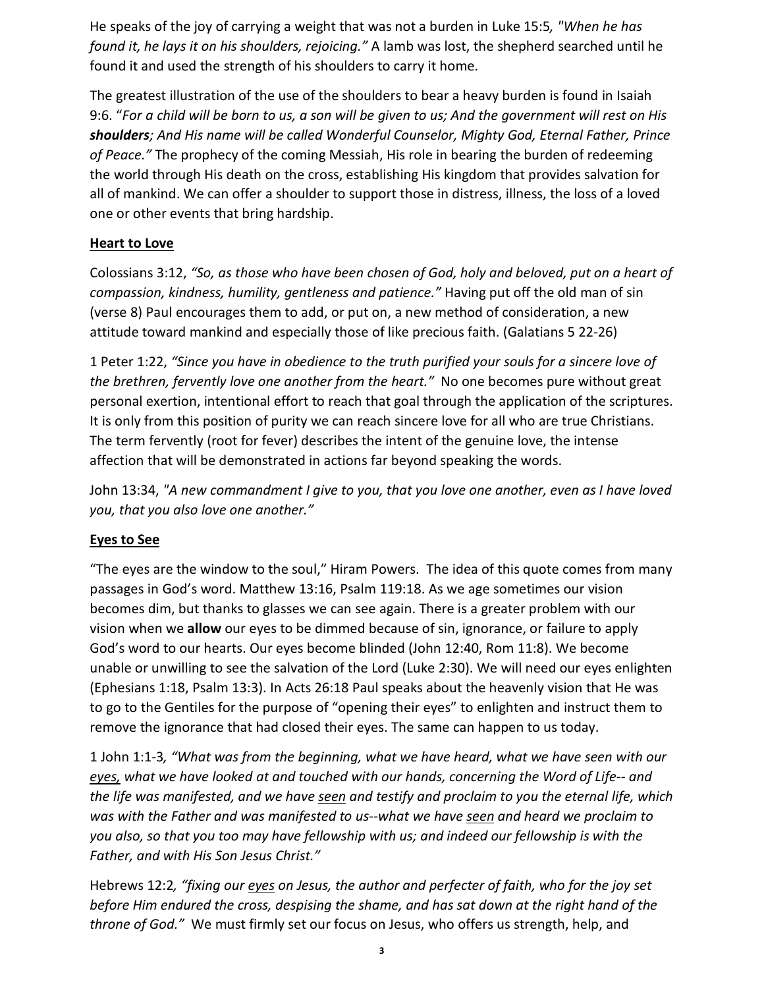He speaks of the joy of carrying a weight that was not a burden in Luke 15:5*, "When he has found it, he lays it on his shoulders, rejoicing."* A lamb was lost, the shepherd searched until he found it and used the strength of his shoulders to carry it home.

The greatest illustration of the use of the shoulders to bear a heavy burden is found in Isaiah 9:6. "*For a child will be born to us, a son will be given to us; And the government will rest on His shoulders; And His name will be called Wonderful Counselor, Mighty God, Eternal Father, Prince of Peace."* The prophecy of the coming Messiah, His role in bearing the burden of redeeming the world through His death on the cross, establishing His kingdom that provides salvation for all of mankind. We can offer a shoulder to support those in distress, illness, the loss of a loved one or other events that bring hardship.

## **Heart to Love**

Colossians 3:12, *"So, as those who have been chosen of God, holy and beloved, put on a heart of compassion, kindness, humility, gentleness and patience."* Having put off the old man of sin (verse 8) Paul encourages them to add, or put on, a new method of consideration, a new attitude toward mankind and especially those of like precious faith. (Galatians 5 22-26)

1 Peter 1:22, *"Since you have in obedience to the truth purified your souls for a sincere love of the brethren, fervently love one another from the heart."* No one becomes pure without great personal exertion, intentional effort to reach that goal through the application of the scriptures. It is only from this position of purity we can reach sincere love for all who are true Christians. The term fervently (root for fever) describes the intent of the genuine love, the intense affection that will be demonstrated in actions far beyond speaking the words.

John 13:34, *"A new commandment I give to you, that you love one another, even as I have loved you, that you also love one another."*

#### **Eyes to See**

"The eyes are the window to the soul," Hiram Powers. The idea of this quote comes from many passages in God's word. Matthew 13:16, Psalm 119:18. As we age sometimes our vision becomes dim, but thanks to glasses we can see again. There is a greater problem with our vision when we **allow** our eyes to be dimmed because of sin, ignorance, or failure to apply God's word to our hearts. Our eyes become blinded (John 12:40, Rom 11:8). We become unable or unwilling to see the salvation of the Lord (Luke 2:30). We will need our eyes enlighten (Ephesians 1:18, Psalm 13:3). In Acts 26:18 Paul speaks about the heavenly vision that He was to go to the Gentiles for the purpose of "opening their eyes" to enlighten and instruct them to remove the ignorance that had closed their eyes. The same can happen to us today.

1 John 1:1-3*, "What was from the beginning, what we have heard, what we have seen with our eyes, what we have looked at and touched with our hands, concerning the Word of Life-- and the life was manifested, and we have seen and testify and proclaim to you the eternal life, which was with the Father and was manifested to us--what we have seen and heard we proclaim to you also, so that you too may have fellowship with us; and indeed our fellowship is with the Father, and with His Son Jesus Christ."*

Hebrews 12:2*, "fixing our eyes on Jesus, the author and perfecter of faith, who for the joy set before Him endured the cross, despising the shame, and has sat down at the right hand of the throne of God."* We must firmly set our focus on Jesus, who offers us strength, help, and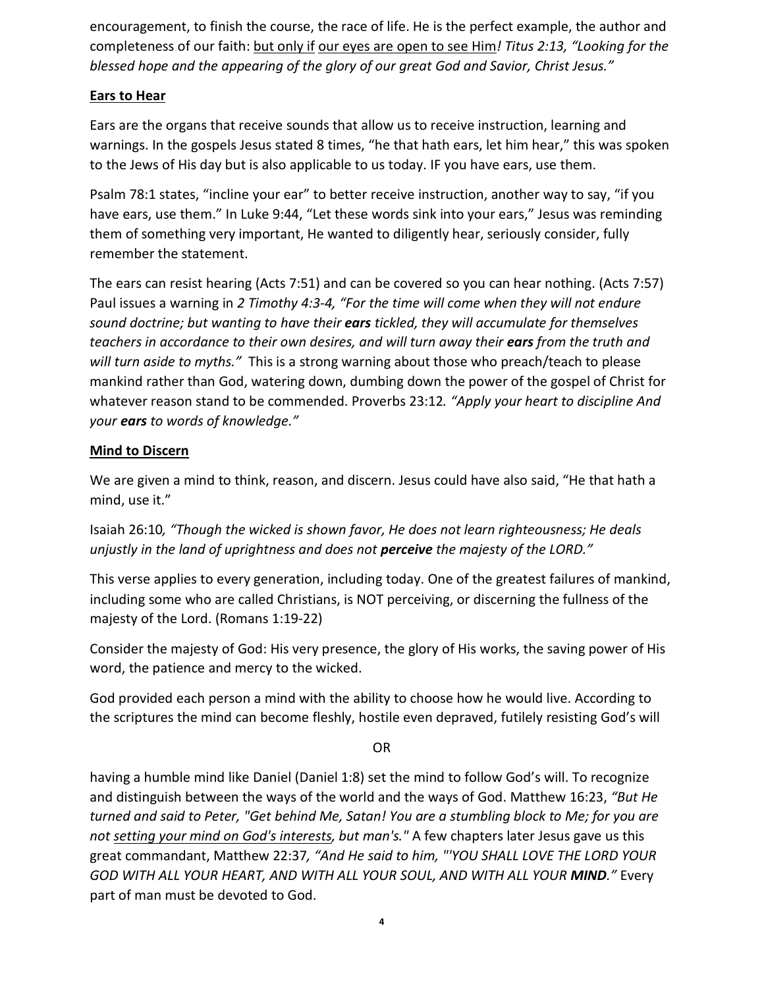encouragement, to finish the course, the race of life. He is the perfect example, the author and completeness of our faith: but only if our eyes are open to see Him*! Titus 2:13, "Looking for the blessed hope and the appearing of the glory of our great God and Savior, Christ Jesus."*

## **Ears to Hear**

Ears are the organs that receive sounds that allow us to receive instruction, learning and warnings. In the gospels Jesus stated 8 times, "he that hath ears, let him hear," this was spoken to the Jews of His day but is also applicable to us today. IF you have ears, use them.

Psalm 78:1 states, "incline your ear" to better receive instruction, another way to say, "if you have ears, use them." In Luke 9:44, "Let these words sink into your ears," Jesus was reminding them of something very important, He wanted to diligently hear, seriously consider, fully remember the statement.

The ears can resist hearing (Acts 7:51) and can be covered so you can hear nothing. (Acts 7:57) Paul issues a warning in *2 Timothy 4:3-4, "For the time will come when they will not endure sound doctrine; but wanting to have their ears tickled, they will accumulate for themselves teachers in accordance to their own desires, and will turn away their ears from the truth and will turn aside to myths."* This is a strong warning about those who preach/teach to please mankind rather than God, watering down, dumbing down the power of the gospel of Christ for whatever reason stand to be commended. Proverbs 23:12*. "Apply your heart to discipline And your ears to words of knowledge."*

## **Mind to Discern**

We are given a mind to think, reason, and discern. Jesus could have also said, "He that hath a mind, use it."

Isaiah 26:10*, "Though the wicked is shown favor, He does not learn righteousness; He deals unjustly in the land of uprightness and does not perceive the majesty of the LORD."*

This verse applies to every generation, including today. One of the greatest failures of mankind, including some who are called Christians, is NOT perceiving, or discerning the fullness of the majesty of the Lord. (Romans 1:19-22)

Consider the majesty of God: His very presence, the glory of His works, the saving power of His word, the patience and mercy to the wicked.

God provided each person a mind with the ability to choose how he would live. According to the scriptures the mind can become fleshly, hostile even depraved, futilely resisting God's will

OR

having a humble mind like Daniel (Daniel 1:8) set the mind to follow God's will. To recognize and distinguish between the ways of the world and the ways of God. Matthew 16:23, *"But He turned and said to Peter, "Get behind Me, Satan! You are a stumbling block to Me; for you are not setting your mind on God's interests, but man's."* A few chapters later Jesus gave us this great commandant, Matthew 22:37*, "And He said to him, "'YOU SHALL LOVE THE LORD YOUR GOD WITH ALL YOUR HEART, AND WITH ALL YOUR SOUL, AND WITH ALL YOUR MIND."* Every part of man must be devoted to God.